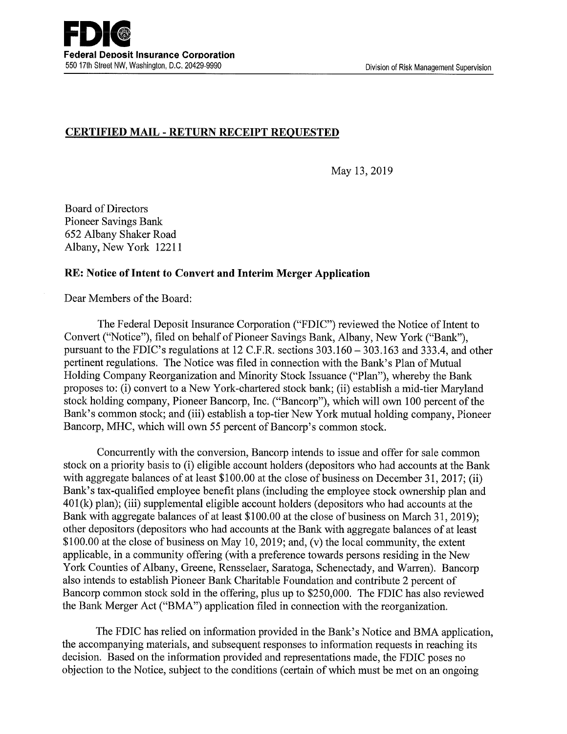# CERTIFIED MAIL -RETURN RECEIPT REQUESTED

May 13, 2019

Board of Directors Pioneer Savings Bank 652 Albany Shaker Road Albany, New York 12211

## RE: Notice of Intent to Convert and Interim Merger Application

Dear Members of the Board:

The Federal Deposit Insurance Corporation ("FDIC") reviewed the Notice of Intent to Convert ("Notice"), filed on behalf of Pioneer Savings Bank, Albany, New York ("Bank"), pursuant to the FDIC's regulations at 12 C.F.R. sections 303.160 — 303.163 and 333.4, and other pertinent regulations. The Notice was filed in connection with the Bank's Plan of Mutual Holding Company Reorganization and Minority Stock Issuance ("Plan"), whereby the Bank proposes to: (i) convert to a New York-chartered stock bank; (ii) establish amid-tier Maryland stock holding company, Pioneer Bancorp, Inc. ("Bancorp"), which will own 100 percent of the Bank's common stock; and (iii) establish a top-tier New York mutual holding company, Pioneer Bancorp, MHC, which will own 55 percent of Bancorp's common stock.

Concurrently with the conversion, Bancorp intends to issue and offer for sale common stock on a priority basis to (i) eligible account holders (depositors who had accounts at the Bank with aggregate balances of at least \$100.00 at the close of business on December 31, 2017; (ii) Bank's tax-qualified employee benefit plans (including the employee stock ownership plan and  $401(k)$  plan); (iii) supplemental eligible account holders (depositors who had accounts at the Bank with aggregate balances of at least \$100.00 at the close of business on March 31, 2019); other depositors (depositors who had accounts at the Bank with aggregate balances of at least \$100.00 at the close of business on May 10, 2019; and, (v) the local community, the extent applicable, in a community offering (with a preference towards persons residing in the New York Counties of Albany, Greene, Rensselaer, Saratoga, Schenectady, and Warren). Bancorp also intends to establish Pioneer Bank Charitable Foundation and contribute 2 percent of Bancorp common stock sold in the offering, plus up to \$250,000. The FDIC has also reviewed the Bank Merger Act ("BMA") application filed in connection with the reorganization.

The FDIC has relied on information provided in the Bank's Notice and BMA application, the accompanying materials, and subsequent responses to information requests in reaching its decision. Based on the information provided and representations made, the FDIC poses no objection to the Notice, subject to the conditions (certain of which must be met on an ongoing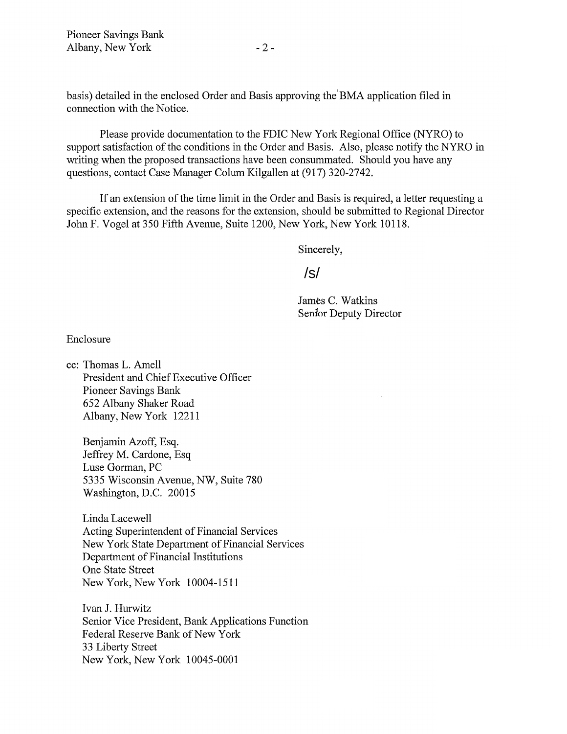Pioneer Savings Bank Albany, New York - 2 -

basis) detailed in the enclosed Order and Basis approving the'BMA application filed in connection with the Notice.

Please provide documentation to the FDIC New York Regional Office (NYRO) to support satisfaction of the conditions in the Order and Basis. Also, please notify the NYRO in writing when the proposed transactions have been consummated. Should you have any questions, contact Case Manager Colum Kilgallen at (917) 320-2742.

If an extension of the time limit in the Order and Basis is required, a letter requesting a specific extension, and the reasons for the extension, should be submitted to Regional Director John F. Vogel at 350 Fifth Avenue, Suite 1200, New York, New York 10118.

Sincerely,

/s/

James C. Watkins Senfor Deputy Director

Enclosure

cc: Thomas L. Amell President and Chief Executive Officer Pioneer Savings Bank 652 Albany Shaker Road Albany, New York 12211

Benjamin Azoff, Esq. Jeffrey M. Cardone, Esq Luse Gorman, PC 5335 Wisconsin Avenue, NW, Suite 780 Washington, D.C. 20015

Linda Lacewell Acting Superintendent of Financial Services New York State Department of Financial Services Department of Financial Institutions One State Street New York, New York 10004-1511

Ivan J. Hurwitz Senior Vice President, Bank Applications Function Federal Reserve Bank of New York 33 Liberty Street New York, New York 10045-0001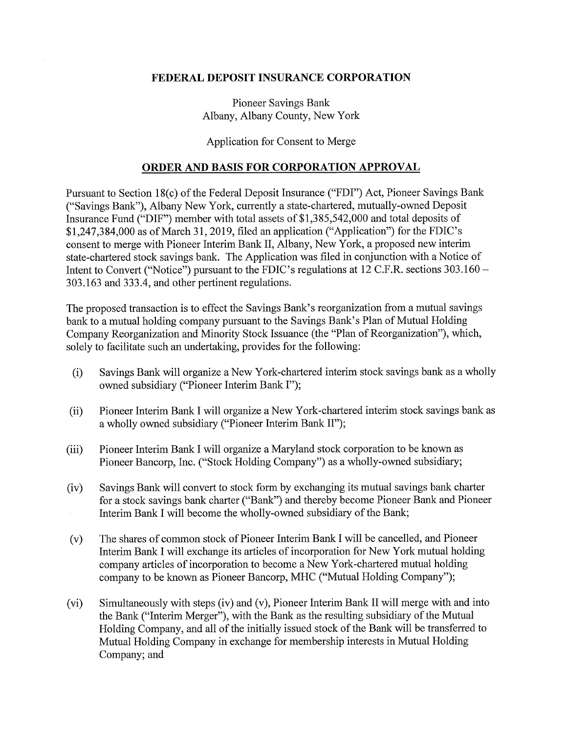### FEDERAL DEPOSIT INSURANCE CORPORATION

Pioneer Savings Bank Albany, Albany County, New York

### Application for Consent to Merge

#### ORDER AND BASIS FOR CORPORATION APPROVAL

Pursuant to Section 18(c) of the Federal Deposit Insurance ("FDI") Act, Pioneer Savings Bank ("Savings Bank"), Albany New York, currently astate-chartered, mutually-owned Deposit Insurance Fund ("DIF") member with total assets of \$1,385,542,000 and total deposits of \$1,247,384,000 as of March 31, 2019, filed an application ("Application") for the FDIC's consent to merge with Pioneer Interim Bank II, Albany, New York, a proposed new interim state-chartered stock savings bank. The Application was filed in conjunction with a Notice of Intent to Convert ("Notice") pursuant to the FDIC's regulations at 12 C.F.R. sections 303.160 – 303.163 and 333.4, and other pertinent regulations.

The proposed transaction is to effect the Savings Bank's reorganization from a mutual savings bank to a mutual holding company pursuant to the Savings Bank's Plan of Mutual Holding Company Reorganization and Minority Stock Issuance (the "Plan of Reorganization"), which, solely to facilitate such an undertaking, provides for the following:

- (i) Savings Bank will organize a New York-chartered interim stock savings bank as a wholly owned subsidiary ("Pioneer Interim Bank I");
- (ii) Pioneer Interim Bank I will organize a New York-chartered interim stock savings bank as a wholly owned subsidiary ("Pioneer Interim Bank II");
- (iii) Pioneer Interim Bank I will organize a Maryland stock corporation to be known as Pioneer Bancorp, Inc. ("Stock Holding Company") as a wholly-owned subsidiary;
- (iv) Savings Bank will convert to stock form by exchanging its mutual savings bank charter for a stock savings bank charter ("Bank") and thereby become Pioneer Bank and Pioneer Interim Bank I will become the wholly-owned subsidiary of the Bank;
- (v) The shares of common stock of Pioneer Interim Bank I will be cancelled, and Pioneer Interim Bank I will exchange its articles of incorporation for New York mutual holding company articles of incorporation to become a New York-chartered mutual holding company to be known as Pioneer Bancorp, MHC ("Mutual Holding Company");
- (vi) Simultaneously with steps (iv) and (v), Pioneer Interim Bank II will merge with and into the Bank ("Interim Merger"), with the Bank as the resulting subsidiary of the Mutual Holding Company, and all of the initially issued stock of the Bank will be transferred to Mutual Holding Company in exchange for membership interests in Mutual Holding Company; and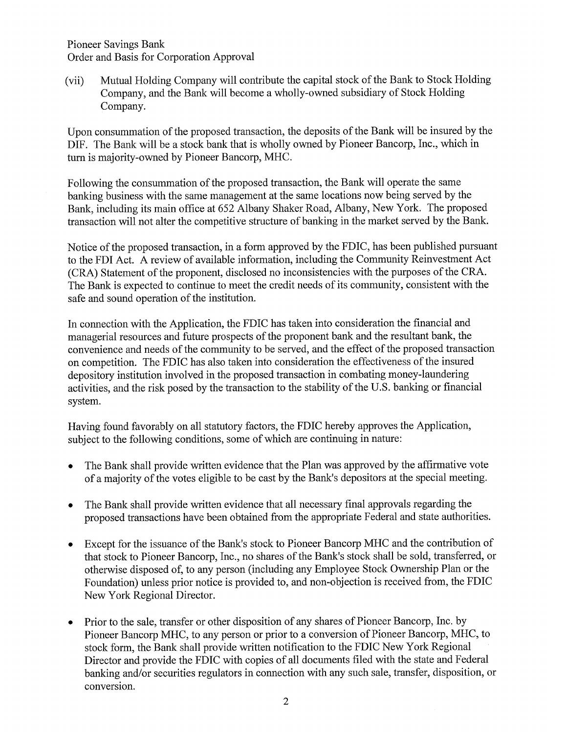Pioneer Savings Bank Order and Basis for Corporation Approval

(vii) Mutual Holding Company will contribute the capital stock of the Bank to Stock Holding Company, and the Bank will become awholly-owned subsidiary of Stock Holding Company.

Upon consummation of the proposed transaction, the deposits of the Bank will be insured by the DIF. The Bank will be a stock bank that is wholly owned by Pioneer Bancorp, Inc., which in turn is majority-owned by Pioneer Bancorp, MHC.

Following the consummation of the proposed transaction, the Bank will operate the same banking business with the same management at the same locations now being served by the Bank, including its main office at 652 Albany Shaker Road, Albany, New York. The proposed transaction will not alter the competitive structure of banking in the market served by the Bank.

Notice of the proposed transaction, in a form approved by the FDIC, has been published pursuant to the FDI Act. A review of available information, including the Community Reinvestment Act (CRA) Statement of the proponent, disclosed no inconsistencies with the purposes of the CRA. The Bank is expected to continue to meet the credit needs of its community, consistent with the safe and sound operation of the institution.

In connection with the Application, the FDIC has taken into consideration the financial and managerial resources and future prospects of the proponent bank and the resultant bank, the convenience and needs of the community to be served, and the effect of the proposed transaction on competition. The FDIC has also taken into consideration the effectiveness of the insured depository institution involved in the proposed transaction in combating money-laundering activities, and the risk posed by the transaction to the stability of the U.S. banking or financial system.

Having found favorably on all statutory factors, the FDIC hereby approves the Application, subject to the following conditions, some of which are continuing in nature:

- The Bank shall provide written evidence that the Plan was approved by the affirmative vote of a majority of the votes eligible to be cast by the Bank's depositors at the special meeting.
- The Bank shall provide written evidence that all necessary final approvals regarding the proposed transactions have been obtained from the appropriate Federal and state authorities.
- Except for the issuance of the Bank's stock to Pioneer Bancorp MHC and the contribution of  $\bullet$ that stock to Pioneer Bancorp, Inc., no shares of the Bank's stock shall be sold, transferred, or otherwise disposed of, to any person (including any Employee Stock Ownership Plan or the Foundation) unless prior notice is provided to, and non-objection is received from, the FDIC New York Regional Director.
- Prior to the sale, transfer or other disposition of any shares of Pioneer Bancorp, Inc. by Pioneer Bancorp MHC, to any person or prior to a conversion of Pioneer Bancorp, MHC, to stock form, the Bank shall provide written notification to the FDIC New York Regional Director and provide the FDIC with copies of all documents filed with the state and Federal banking and/or securities regulators in connection with any such sale, transfer, disposition, or conversion.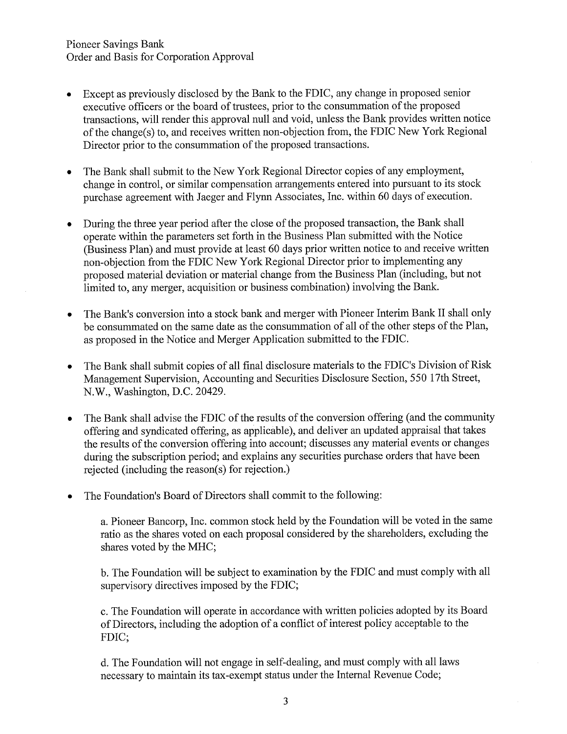- Except as previously disclosed by the Bank to the FDIC, any change in proposed senior  $\bullet$ executive officers or the board of trustees, prior to the consummation of the proposed transactions, will render this approval null and void, unless the Bank provides written notice of the change(s) to, and receives written non-objection from, the FDIC New York Regional Director prior to the consummation of the proposed transactions.
- The Bank shall submit to the New York Regional Director copies of any employment, change in control, or similar compensation arrangements entered into pursuant to its stock purchase agreement with Jaeger and Flynn Associates, Inc. within 60 days of execution.
- During the three year period after the close of the proposed transaction, the Bank shall operate within the parameters set forth in the Business Plan submitted with the Notice (Business Plan) and must provide at least 60 days prior written notice to and receive written non-objection from the FDIC New York Regional Director prior to implementing any proposed material deviation or material change from the Business Plan (including, but not limited to, any merger, acquisition or business combination) involving the Bank.
- The Bank's conversion into a stock bank and merger with Pioneer Interim Bank II shall only be consummated on the same date as the consummation of all of the other steps of the Plan, as proposed in the Notice and Merger Application submitted to the FDIC.
- The Bank shall submit copies of all final disclosure materials to the FDIC's Division of Risk Management Supervision, Accounting and Securities Disclosure Section, 550 17th Street, N.W., Washington, D.C. 20429.
- The Bank shall advise the FDIC of the results of the conversion offering (and the community offering and syndicated offering, as applicable), and deliver an updated appraisal that takes the results of the conversion offering into account; discusses any material events or changes during the subscription period; and explains any securities purchase orders that have been rejected (including the reason(s) for rejection.)
- The Foundation's Board of Directors shall commit to the following:

a. Pioneer Bancorp, Inc. common stock held by the Foundation will be voted in the same ratio as the shares voted on each proposal considered by the shareholders, excluding the shares voted by the MHC;

b. The Foundation will be subject to examination by the FDIC and must comply with all supervisory directives imposed by the FDIC;

c. The Foundation will operate in accordance with written policies adopted by its Board of Directors, including the adoption of a conflict of interest policy acceptable to the FDIC;

d. The Foundation will not engage in self-dealing, and must comply with all laws necessary to maintain its tax-exempt status under the Internal Revenue Code;